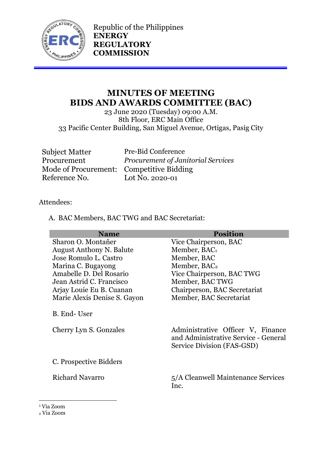

Republic of the Philippines **ENERGY REGULATORY COMMISSION**

# **MINUTES OF MEETING BIDS AND AWARDS COMMITTEE (BAC)**

23 June 2020 (Tuesday) 09:00 A.M. 8th Floor, ERC Main Office 33 Pacific Center Building, San Miguel Avenue, Ortigas, Pasig City

Subject Matter Pre-Bid Conference<br>Procurement Procurement of Jan Mode of Procurement: Competitive Bidding Reference No. Lot No. 2020-01

Procurement *Procurement of Janitorial Services*

# Attendees:

A. BAC Members, BAC TWG and BAC Secretariat:

| <b>Name</b>                           | <b>Position</b>                                                    |
|---------------------------------------|--------------------------------------------------------------------|
| Sharon O. Montañer                    | Vice Chairperson, BAC                                              |
| <b>August Anthony N. Balute</b>       | Member, BAC1                                                       |
| Jose Romulo L. Castro                 | Member, BAC                                                        |
| Marina C. Bugayong                    | Member, BAC <sub>2</sub>                                           |
| Amabelle D. Del Rosario               | Vice Chairperson, BAC TWG                                          |
| Jean Astrid C. Francisco              | Member, BAC TWG                                                    |
| Arjay Louie Eu B. Cuanan              | Chairperson, BAC Secretariat                                       |
| Marie Alexis Denise S. Gayon          | Member, BAC Secretariat                                            |
| B. End-User<br>Cherry Lyn S. Gonzales | Administrative Officer V, Finance                                  |
|                                       | and Administrative Service - General<br>Service Division (FAS-GSD) |
| C. Prospective Bidders                |                                                                    |
| <b>Richard Navarro</b>                | 5/A Cleanwell Maintenance Services<br>Inc.                         |

<sup>1</sup> Via Zoom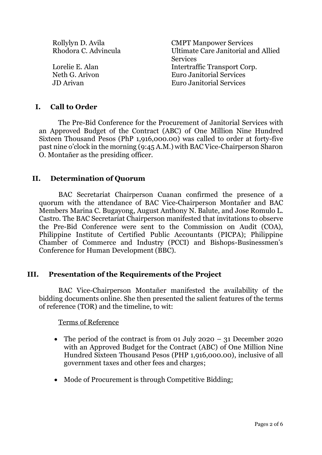Rollylyn D. Avila CMPT Manpower Services Rhodora C. Advincula Ultimate Care Janitorial and Allied **Services** Lorelie E. Alan Intertraffic Transport Corp. Neth G. Arivon Euro Janitorial Services JD Arivan Euro Janitorial Services

## **I. Call to Order**

The Pre-Bid Conference for the Procurement of Janitorial Services with an Approved Budget of the Contract (ABC) of One Million Nine Hundred Sixteen Thousand Pesos (PhP 1,916,000.00) was called to order at forty-five past nine o'clock in the morning (9:45 A.M.) with BAC Vice-Chairperson Sharon O. Montañer as the presiding officer.

## **II. Determination of Quorum**

BAC Secretariat Chairperson Cuanan confirmed the presence of a quorum with the attendance of BAC Vice-Chairperson Montañer and BAC Members Marina C. Bugayong, August Anthony N. Balute, and Jose Romulo L. Castro. The BAC Secretariat Chairperson manifested that invitations to observe the Pre-Bid Conference were sent to the Commission on Audit (COA), Philippine Institute of Certified Public Accountants (PICPA); Philippine Chamber of Commerce and Industry (PCCI) and Bishops-Businessmen's Conference for Human Development (BBC).

#### **III. Presentation of the Requirements of the Project**

BAC Vice-Chairperson Montañer manifested the availability of the bidding documents online. She then presented the salient features of the terms of reference (TOR) and the timeline, to wit:

Terms of Reference

- The period of the contract is from 01 July 2020 31 December 2020 with an Approved Budget for the Contract (ABC) of One Million Nine Hundred Sixteen Thousand Pesos (PHP 1,916,000.00), inclusive of all government taxes and other fees and charges;
- Mode of Procurement is through Competitive Bidding;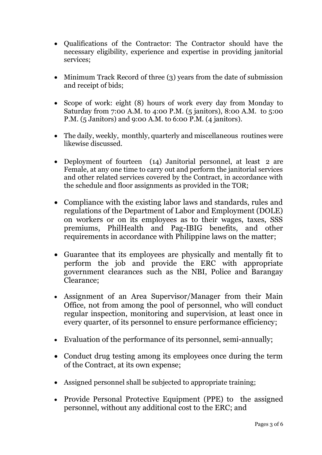- Qualifications of the Contractor: The Contractor should have the necessary eligibility, experience and expertise in providing janitorial services;
- Minimum Track Record of three (3) years from the date of submission and receipt of bids;
- Scope of work: eight (8) hours of work every day from Monday to Saturday from 7:00 A.M. to 4:00 P.M. (5 janitors), 8:00 A.M. to 5:00 P.M. (5 Janitors) and 9:00 A.M. to 6:00 P.M. (4 janitors).
- The daily, weekly, monthly, quarterly and miscellaneous routines were likewise discussed.
- Deployment of fourteen (14) Janitorial personnel, at least 2 are Female, at any one time to carry out and perform the janitorial services and other related services covered by the Contract, in accordance with the schedule and floor assignments as provided in the TOR;
- Compliance with the existing labor laws and standards, rules and regulations of the Department of Labor and Employment (DOLE) on workers or on its employees as to their wages, taxes, SSS premiums, PhilHealth and Pag-IBIG benefits, and other requirements in accordance with Philippine laws on the matter;
- Guarantee that its employees are physically and mentally fit to perform the job and provide the ERC with appropriate government clearances such as the NBI, Police and Barangay Clearance;
- Assignment of an Area Supervisor/Manager from their Main Office, not from among the pool of personnel, who will conduct regular inspection, monitoring and supervision, at least once in every quarter, of its personnel to ensure performance efficiency;
- Evaluation of the performance of its personnel, semi-annually;
- Conduct drug testing among its employees once during the term of the Contract, at its own expense;
- Assigned personnel shall be subjected to appropriate training;
- Provide Personal Protective Equipment (PPE) to the assigned personnel, without any additional cost to the ERC; and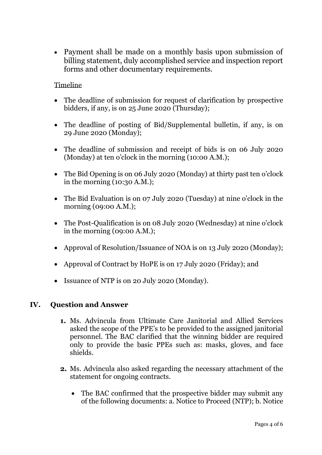• Payment shall be made on a monthly basis upon submission of billing statement, duly accomplished service and inspection report forms and other documentary requirements.

## Timeline

- The deadline of submission for request of clarification by prospective bidders, if any, is on 25 June 2020 (Thursday);
- The deadline of posting of Bid/Supplemental bulletin, if any, is on 29 June 2020 (Monday);
- The deadline of submission and receipt of bids is on 06 July 2020 (Monday) at ten o'clock in the morning (10:00 A.M.);
- The Bid Opening is on 06 July 2020 (Monday) at thirty past ten o'clock in the morning  $(10:30 \text{ A.M.})$ ;
- The Bid Evaluation is on 07 July 2020 (Tuesday) at nine o'clock in the morning (09:00 A.M.);
- The Post-Qualification is on 08 July 2020 (Wednesday) at nine o'clock in the morning (09:00 A.M.);
- Approval of Resolution/Issuance of NOA is on 13 July 2020 (Monday);
- Approval of Contract by HoPE is on 17 July 2020 (Friday); and
- Issuance of NTP is on 20 July 2020 (Monday).

# **IV. Question and Answer**

- **1.** Ms. Advincula from Ultimate Care Janitorial and Allied Services asked the scope of the PPE's to be provided to the assigned janitorial personnel. The BAC clarified that the winning bidder are required only to provide the basic PPEs such as: masks, gloves, and face shields.
- **2.** Ms. Advincula also asked regarding the necessary attachment of the statement for ongoing contracts.
	- The BAC confirmed that the prospective bidder may submit any of the following documents: a. Notice to Proceed (NTP); b. Notice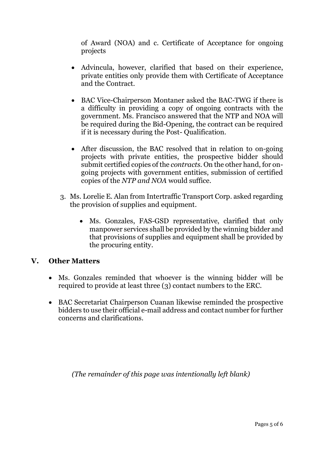of Award (NOA) and c. Certificate of Acceptance for ongoing projects

- Advincula, however, clarified that based on their experience, private entities only provide them with Certificate of Acceptance and the Contract.
- BAC Vice-Chairperson Montaner asked the BAC-TWG if there is a difficulty in providing a copy of ongoing contracts with the government. Ms. Francisco answered that the NTP and NOA will be required during the Bid-Opening, the contract can be required if it is necessary during the Post- Qualification.
- After discussion, the BAC resolved that in relation to on-going projects with private entities, the prospective bidder should submit certified copies of the *contracts*. On the other hand, for ongoing projects with government entities, submission of certified copies of the *NTP and NOA* would suffice.
- 3. Ms. Lorelie E. Alan from Intertraffic Transport Corp. asked regarding the provision of supplies and equipment.
	- Ms. Gonzales, FAS-GSD representative, clarified that only manpower services shall be provided by the winning bidder and that provisions of supplies and equipment shall be provided by the procuring entity.

# **V. Other Matters**

- Ms. Gonzales reminded that whoever is the winning bidder will be required to provide at least three (3) contact numbers to the ERC.
- BAC Secretariat Chairperson Cuanan likewise reminded the prospective bidders to use their official e-mail address and contact number for further concerns and clarifications.

*(The remainder of this page was intentionally left blank)*